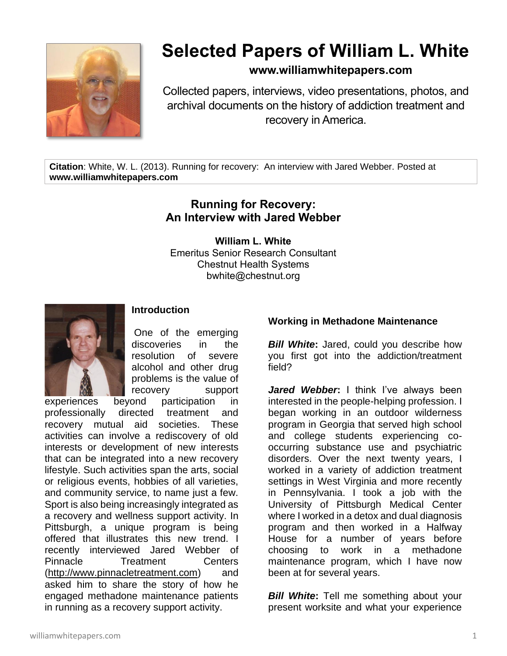

# **Selected Papers of William L. White**

### **www.williamwhitepapers.com**

Collected papers, interviews, video presentations, photos, and archival documents on the history of addiction treatment and recovery in America.

**Citation**: White, W. L. (2013). Running for recovery: An interview with Jared Webber. Posted at **www.williamwhitepapers.com**

## **Running for Recovery: An Interview with Jared Webber**

**William L. White** Emeritus Senior Research Consultant Chestnut Health Systems bwhite@chestnut.org



#### **Introduction**

One of the emerging discoveries in the resolution of severe alcohol and other drug problems is the value of recovery support

experiences beyond participation in professionally directed treatment and recovery mutual aid societies. These activities can involve a rediscovery of old interests or development of new interests that can be integrated into a new recovery lifestyle. Such activities span the arts, social or religious events, hobbies of all varieties, and community service, to name just a few. Sport is also being increasingly integrated as a recovery and wellness support activity. In Pittsburgh, a unique program is being offered that illustrates this new trend. I recently interviewed Jared Webber of Pinnacle Treatment Centers [\(http://www.pinnacletreatment.com\)](http://www.pinnacletreatment.com/) and asked him to share the story of how he engaged methadone maintenance patients in running as a recovery support activity.

#### **Working in Methadone Maintenance**

**Bill White:** Jared, could you describe how you first got into the addiction/treatment field?

Jared Webber: I think I've always been interested in the people-helping profession. I began working in an outdoor wilderness program in Georgia that served high school and college students experiencing cooccurring substance use and psychiatric disorders. Over the next twenty years, I worked in a variety of addiction treatment settings in West Virginia and more recently in Pennsylvania. I took a job with the University of Pittsburgh Medical Center where I worked in a detox and dual diagnosis program and then worked in a Halfway House for a number of years before choosing to work in a methadone maintenance program, which I have now been at for several years.

**Bill White:** Tell me something about your present worksite and what your experience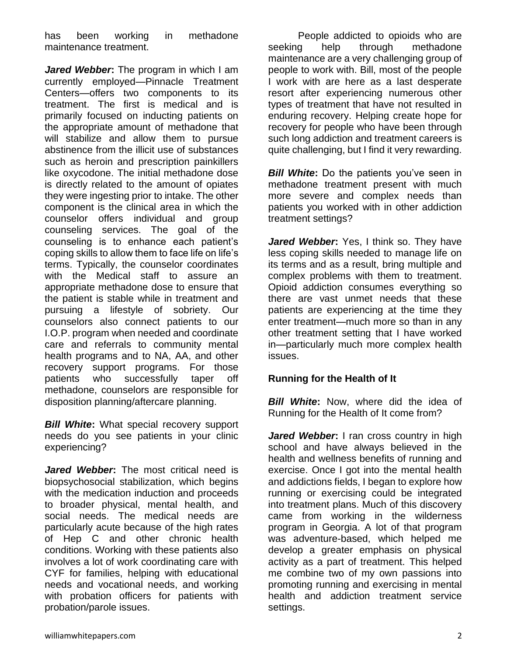has been working in methadone maintenance treatment.

*Jared Webber***:** The program in which I am currently employed—Pinnacle Treatment Centers—offers two components to its treatment. The first is medical and is primarily focused on inducting patients on the appropriate amount of methadone that will stabilize and allow them to pursue abstinence from the illicit use of substances such as heroin and prescription painkillers like oxycodone. The initial methadone dose is directly related to the amount of opiates they were ingesting prior to intake. The other component is the clinical area in which the counselor offers individual and group counseling services. The goal of the counseling is to enhance each patient's coping skills to allow them to face life on life's terms. Typically, the counselor coordinates with the Medical staff to assure an appropriate methadone dose to ensure that the patient is stable while in treatment and pursuing a lifestyle of sobriety. Our counselors also connect patients to our I.O.P. program when needed and coordinate care and referrals to community mental health programs and to NA, AA, and other recovery support programs. For those patients who successfully taper off methadone, counselors are responsible for disposition planning/aftercare planning.

*Bill White***:** What special recovery support needs do you see patients in your clinic experiencing?

*Jared Webber***:** The most critical need is biopsychosocial stabilization, which begins with the medication induction and proceeds to broader physical, mental health, and social needs. The medical needs are particularly acute because of the high rates of Hep C and other chronic health conditions. Working with these patients also involves a lot of work coordinating care with CYF for families, helping with educational needs and vocational needs, and working with probation officers for patients with probation/parole issues.

People addicted to opioids who are seeking help through methadone maintenance are a very challenging group of people to work with. Bill, most of the people I work with are here as a last desperate resort after experiencing numerous other types of treatment that have not resulted in enduring recovery. Helping create hope for recovery for people who have been through such long addiction and treatment careers is quite challenging, but I find it very rewarding.

*Bill White***:** Do the patients you've seen in methadone treatment present with much more severe and complex needs than patients you worked with in other addiction treatment settings?

Jared Webber: Yes, I think so. They have less coping skills needed to manage life on its terms and as a result, bring multiple and complex problems with them to treatment. Opioid addiction consumes everything so there are vast unmet needs that these patients are experiencing at the time they enter treatment—much more so than in any other treatment setting that I have worked in—particularly much more complex health issues.

#### **Running for the Health of It**

*Bill White***:** Now, where did the idea of Running for the Health of It come from?

*Jared Webber***:** I ran cross country in high school and have always believed in the health and wellness benefits of running and exercise. Once I got into the mental health and addictions fields, I began to explore how running or exercising could be integrated into treatment plans. Much of this discovery came from working in the wilderness program in Georgia. A lot of that program was adventure-based, which helped me develop a greater emphasis on physical activity as a part of treatment. This helped me combine two of my own passions into promoting running and exercising in mental health and addiction treatment service settings.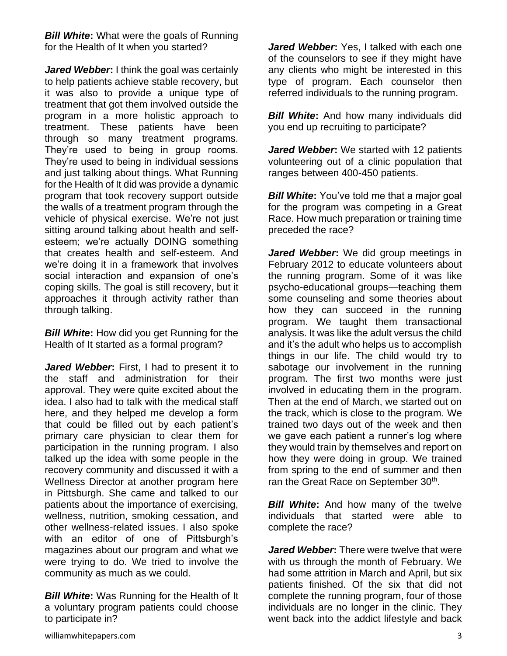*Bill White:* What were the goals of Running for the Health of It when you started?

*Jared Webber***:** I think the goal was certainly to help patients achieve stable recovery, but it was also to provide a unique type of treatment that got them involved outside the program in a more holistic approach to treatment. These patients have been through so many treatment programs. They're used to being in group rooms. They're used to being in individual sessions and just talking about things. What Running for the Health of It did was provide a dynamic program that took recovery support outside the walls of a treatment program through the vehicle of physical exercise. We're not just sitting around talking about health and selfesteem; we're actually DOING something that creates health and self-esteem. And we're doing it in a framework that involves social interaction and expansion of one's coping skills. The goal is still recovery, but it approaches it through activity rather than through talking.

*Bill White***:** How did you get Running for the Health of It started as a formal program?

*Jared Webber***:** First, I had to present it to the staff and administration for their approval. They were quite excited about the idea. I also had to talk with the medical staff here, and they helped me develop a form that could be filled out by each patient's primary care physician to clear them for participation in the running program. I also talked up the idea with some people in the recovery community and discussed it with a Wellness Director at another program here in Pittsburgh. She came and talked to our patients about the importance of exercising, wellness, nutrition, smoking cessation, and other wellness-related issues. I also spoke with an editor of one of Pittsburgh's magazines about our program and what we were trying to do. We tried to involve the community as much as we could.

*Bill White***:** Was Running for the Health of It a voluntary program patients could choose to participate in?

*Jared Webber***:** Yes, I talked with each one of the counselors to see if they might have any clients who might be interested in this type of program. Each counselor then referred individuals to the running program.

*Bill White:* And how many individuals did you end up recruiting to participate?

*Jared Webber***:** We started with 12 patients volunteering out of a clinic population that ranges between 400-450 patients.

**Bill White:** You've told me that a major goal for the program was competing in a Great Race. How much preparation or training time preceded the race?

*Jared Webber***:** We did group meetings in February 2012 to educate volunteers about the running program. Some of it was like psycho-educational groups—teaching them some counseling and some theories about how they can succeed in the running program. We taught them transactional analysis. It was like the adult versus the child and it's the adult who helps us to accomplish things in our life. The child would try to sabotage our involvement in the running program. The first two months were just involved in educating them in the program. Then at the end of March, we started out on the track, which is close to the program. We trained two days out of the week and then we gave each patient a runner's log where they would train by themselves and report on how they were doing in group. We trained from spring to the end of summer and then ran the Great Race on September 30<sup>th</sup>.

*Bill White:* And how many of the twelve individuals that started were able to complete the race?

*Jared Webber***:** There were twelve that were with us through the month of February. We had some attrition in March and April, but six patients finished. Of the six that did not complete the running program, four of those individuals are no longer in the clinic. They went back into the addict lifestyle and back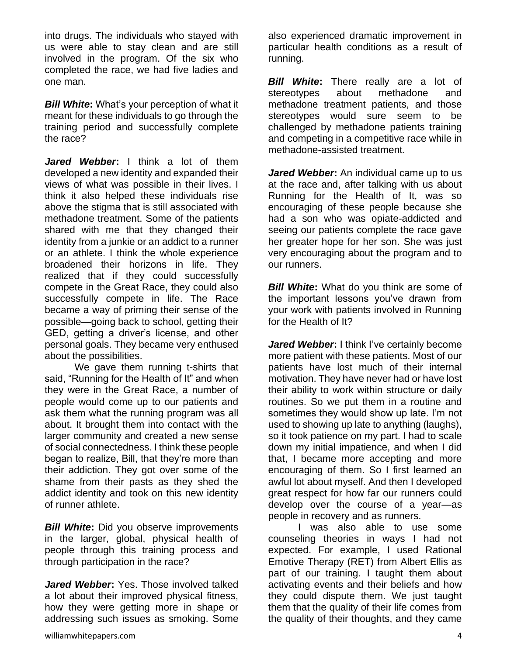into drugs. The individuals who stayed with us were able to stay clean and are still involved in the program. Of the six who completed the race, we had five ladies and one man.

*Bill White***:** What's your perception of what it meant for these individuals to go through the training period and successfully complete the race?

*Jared Webber***:** I think a lot of them developed a new identity and expanded their views of what was possible in their lives. I think it also helped these individuals rise above the stigma that is still associated with methadone treatment. Some of the patients shared with me that they changed their identity from a junkie or an addict to a runner or an athlete. I think the whole experience broadened their horizons in life. They realized that if they could successfully compete in the Great Race, they could also successfully compete in life. The Race became a way of priming their sense of the possible—going back to school, getting their GED, getting a driver's license, and other personal goals. They became very enthused about the possibilities.

We gave them running t-shirts that said, "Running for the Health of It" and when they were in the Great Race, a number of people would come up to our patients and ask them what the running program was all about. It brought them into contact with the larger community and created a new sense of social connectedness. I think these people began to realize, Bill, that they're more than their addiction. They got over some of the shame from their pasts as they shed the addict identity and took on this new identity of runner athlete.

*Bill White***:** Did you observe improvements in the larger, global, physical health of people through this training process and through participation in the race?

*Jared Webber***:** Yes. Those involved talked a lot about their improved physical fitness, how they were getting more in shape or addressing such issues as smoking. Some

also experienced dramatic improvement in particular health conditions as a result of running.

*Bill White***:** There really are a lot of stereotypes about methadone and methadone treatment patients, and those stereotypes would sure seem to be challenged by methadone patients training and competing in a competitive race while in methadone-assisted treatment.

*Jared Webber***:** An individual came up to us at the race and, after talking with us about Running for the Health of It, was so encouraging of these people because she had a son who was opiate-addicted and seeing our patients complete the race gave her greater hope for her son. She was just very encouraging about the program and to our runners.

*Bill White***:** What do you think are some of the important lessons you've drawn from your work with patients involved in Running for the Health of It?

*Jared Webber***:** I think I've certainly become more patient with these patients. Most of our patients have lost much of their internal motivation. They have never had or have lost their ability to work within structure or daily routines. So we put them in a routine and sometimes they would show up late. I'm not used to showing up late to anything (laughs), so it took patience on my part. I had to scale down my initial impatience, and when I did that, I became more accepting and more encouraging of them. So I first learned an awful lot about myself. And then I developed great respect for how far our runners could develop over the course of a year—as people in recovery and as runners.

I was also able to use some counseling theories in ways I had not expected. For example, I used Rational Emotive Therapy (RET) from Albert Ellis as part of our training. I taught them about activating events and their beliefs and how they could dispute them. We just taught them that the quality of their life comes from the quality of their thoughts, and they came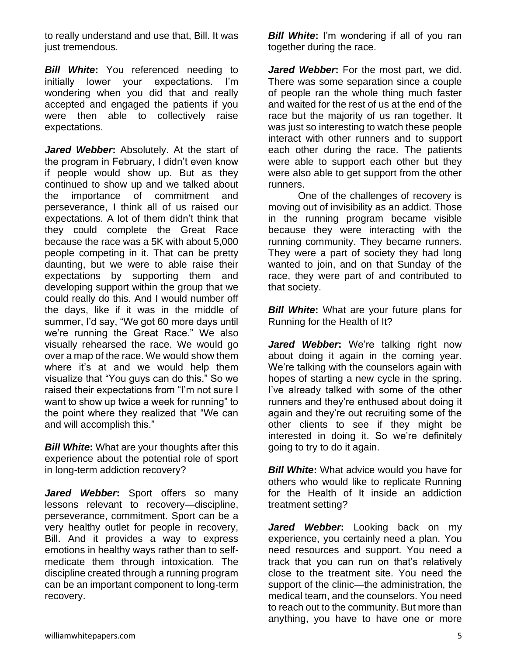to really understand and use that, Bill. It was just tremendous.

*Bill White***:** You referenced needing to initially lower your expectations. I'm wondering when you did that and really accepted and engaged the patients if you were then able to collectively raise expectations.

*Jared Webber***:** Absolutely. At the start of the program in February, I didn't even know if people would show up. But as they continued to show up and we talked about the importance of commitment and perseverance, I think all of us raised our expectations. A lot of them didn't think that they could complete the Great Race because the race was a 5K with about 5,000 people competing in it. That can be pretty daunting, but we were to able raise their expectations by supporting them and developing support within the group that we could really do this. And I would number off the days, like if it was in the middle of summer, I'd say, "We got 60 more days until we're running the Great Race." We also visually rehearsed the race. We would go over a map of the race. We would show them where it's at and we would help them visualize that "You guys can do this." So we raised their expectations from "I'm not sure I want to show up twice a week for running" to the point where they realized that "We can and will accomplish this."

*Bill White***:** What are your thoughts after this experience about the potential role of sport in long-term addiction recovery?

*Jared Webber***:** Sport offers so many lessons relevant to recovery—discipline, perseverance, commitment. Sport can be a very healthy outlet for people in recovery, Bill. And it provides a way to express emotions in healthy ways rather than to selfmedicate them through intoxication. The discipline created through a running program can be an important component to long-term recovery.

**Bill White:** I'm wondering if all of you ran together during the race.

*Jared Webber***:** For the most part, we did. There was some separation since a couple of people ran the whole thing much faster and waited for the rest of us at the end of the race but the majority of us ran together. It was just so interesting to watch these people interact with other runners and to support each other during the race. The patients were able to support each other but they were also able to get support from the other runners.

One of the challenges of recovery is moving out of invisibility as an addict. Those in the running program became visible because they were interacting with the running community. They became runners. They were a part of society they had long wanted to join, and on that Sunday of the race, they were part of and contributed to that society.

*Bill White***:** What are your future plans for Running for the Health of It?

*Jared Webber***:** We're talking right now about doing it again in the coming year. We're talking with the counselors again with hopes of starting a new cycle in the spring. I've already talked with some of the other runners and they're enthused about doing it again and they're out recruiting some of the other clients to see if they might be interested in doing it. So we're definitely going to try to do it again.

*Bill White***:** What advice would you have for others who would like to replicate Running for the Health of It inside an addiction treatment setting?

*Jared Webber***:** Looking back on my experience, you certainly need a plan. You need resources and support. You need a track that you can run on that's relatively close to the treatment site. You need the support of the clinic—the administration, the medical team, and the counselors. You need to reach out to the community. But more than anything, you have to have one or more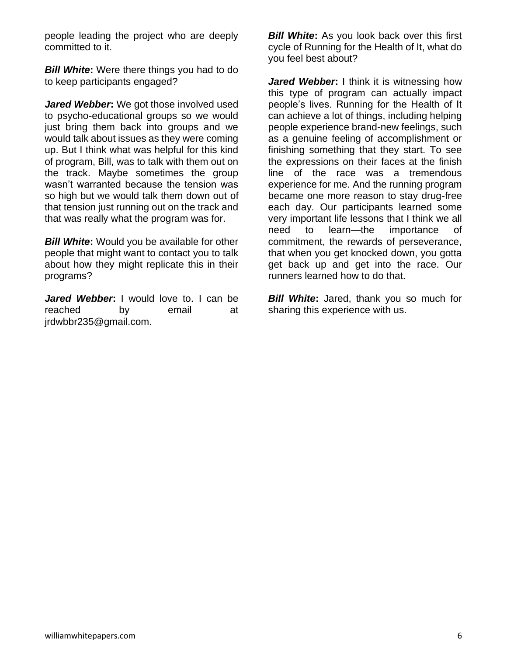people leading the project who are deeply committed to it.

*Bill White***:** Were there things you had to do to keep participants engaged?

*Jared Webber***:** We got those involved used to psycho-educational groups so we would just bring them back into groups and we would talk about issues as they were coming up. But I think what was helpful for this kind of program, Bill, was to talk with them out on the track. Maybe sometimes the group wasn't warranted because the tension was so high but we would talk them down out of that tension just running out on the track and that was really what the program was for.

*Bill White***:** Would you be available for other people that might want to contact you to talk about how they might replicate this in their programs?

*Jared Webber***:** I would love to. I can be reached by email at jrdwbbr235@gmail.com.

**Bill White:** As you look back over this first cycle of Running for the Health of It, what do you feel best about?

*Jared Webber***:** I think it is witnessing how this type of program can actually impact people's lives. Running for the Health of It can achieve a lot of things, including helping people experience brand-new feelings, such as a genuine feeling of accomplishment or finishing something that they start. To see the expressions on their faces at the finish line of the race was a tremendous experience for me. And the running program became one more reason to stay drug-free each day. Our participants learned some very important life lessons that I think we all need to learn—the importance of commitment, the rewards of perseverance, that when you get knocked down, you gotta get back up and get into the race. Our runners learned how to do that.

*Bill White***:** Jared, thank you so much for sharing this experience with us.